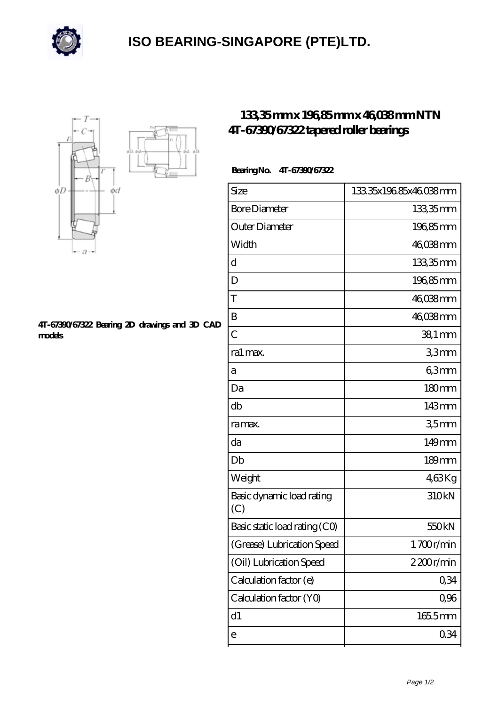

## **[ISO BEARING-SINGAPORE \(PTE\)LTD.](https://m.calvadosbnb.com)**



## **[4T-67390/67322 Bearing 2D drawings and 3D CAD](https://m.calvadosbnb.com/pic-65129395.html) [models](https://m.calvadosbnb.com/pic-65129395.html)**

## **[133,35 mm x 196,85 mm x 46,038 mm NTN](https://m.calvadosbnb.com/ntn-4t-67390-67322-bearing/) [4T-67390/67322 tapered roller bearings](https://m.calvadosbnb.com/ntn-4t-67390-67322-bearing/)**

## **Bearing No. 4T-67390/67322**

| Size                             | 13335x19685x46038mm |
|----------------------------------|---------------------|
| <b>Bore Diameter</b>             | 133,35mm            |
| Outer Diameter                   | 196,85mm            |
| Width                            | 46038mm             |
| d                                | 133,35mm            |
| D                                | 196,85mm            |
| T                                | 46,038mm            |
| B                                | 46,038mm            |
| $\overline{C}$                   | 38,1 mm             |
| ra1 max.                         | 33mm                |
| а                                | 63mm                |
| Da                               | 180mm               |
| db                               | 143mm               |
| ra max.                          | 35 <sub>mm</sub>    |
| da                               | 149mm               |
| Db                               | $189$ mm            |
| Weight                           | 463Kg               |
| Basic dynamic load rating<br>(C) | 310kN               |
| Basic static load rating (CO)    | 550 <sub>kN</sub>   |
| (Grease) Lubrication Speed       | 1700r/min           |
| (Oil) Lubrication Speed          | 2200r/min           |
| Calculation factor (e)           | 0,34                |
| Calculation factor (YO)          | 0,96                |
| d1                               | 1655mm              |
| е                                | 0.34                |